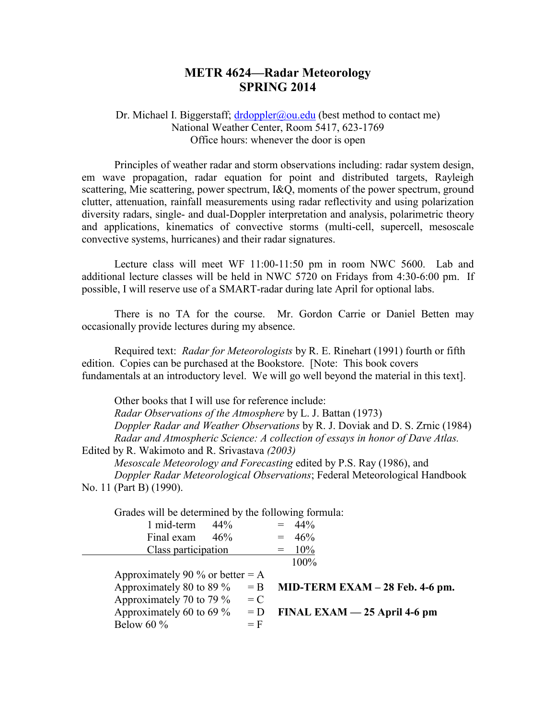## **METR 4624—Radar Meteorology SPRING 2014**

Dr. Michael I. Biggerstaff;  $\frac{dr}{dp}$  dr $\frac{dp}{dr}$  (best method to contact me) National Weather Center, Room 5417, 623-1769 Office hours: whenever the door is open

Principles of weather radar and storm observations including: radar system design, em wave propagation, radar equation for point and distributed targets, Rayleigh scattering, Mie scattering, power spectrum, I&Q, moments of the power spectrum, ground clutter, attenuation, rainfall measurements using radar reflectivity and using polarization diversity radars, single- and dual-Doppler interpretation and analysis, polarimetric theory and applications, kinematics of convective storms (multi-cell, supercell, mesoscale convective systems, hurricanes) and their radar signatures.

Lecture class will meet WF 11:00-11:50 pm in room NWC 5600. Lab and additional lecture classes will be held in NWC 5720 on Fridays from 4:30-6:00 pm. If possible, I will reserve use of a SMART-radar during late April for optional labs.

There is no TA for the course. Mr. Gordon Carrie or Daniel Betten may occasionally provide lectures during my absence.

Required text: *Radar for Meteorologists* by R. E. Rinehart (1991) fourth or fifth edition. Copies can be purchased at the Bookstore. [Note: This book covers fundamentals at an introductory level. We will go well beyond the material in this text].

Other books that I will use for reference include: *Radar Observations of the Atmosphere* by L. J. Battan (1973) *Doppler Radar and Weather Observations* by R. J. Doviak and D. S. Zrnic (1984)

*Radar and Atmospheric Science: A collection of essays in honor of Dave Atlas.*  Edited by R. Wakimoto and R. Srivastava *(2003)*

*Mesoscale Meteorology and Forecasting* edited by P.S. Ray (1986), and *Doppler Radar Meteorological Observations*; Federal Meteorological Handbook No. 11 (Part B) (1990).

| Grades will be determined by the following formula: |                             |     |       |  |                                   |
|-----------------------------------------------------|-----------------------------|-----|-------|--|-----------------------------------|
|                                                     | 1 mid-term                  | 44% |       |  | $= 44\%$                          |
|                                                     | Final exam                  | 46% |       |  | $= 46\%$                          |
| Class participation                                 |                             |     |       |  | $= 10\%$                          |
|                                                     |                             |     |       |  | 100%                              |
| Approximately 90 % or better $= A$                  |                             |     |       |  |                                   |
|                                                     | Approximately 80 to 89 %    |     | $=$ B |  | MID-TERM EXAM $-$ 28 Feb. 4-6 pm. |
|                                                     | Approximately 70 to 79 $\%$ |     | $= C$ |  |                                   |
|                                                     | Approximately 60 to 69 $\%$ |     | $= D$ |  | FINAL EXAM $-$ 25 April 4-6 pm    |
|                                                     | Below 60 $\%$               |     | $=$ F |  |                                   |
|                                                     |                             |     |       |  |                                   |